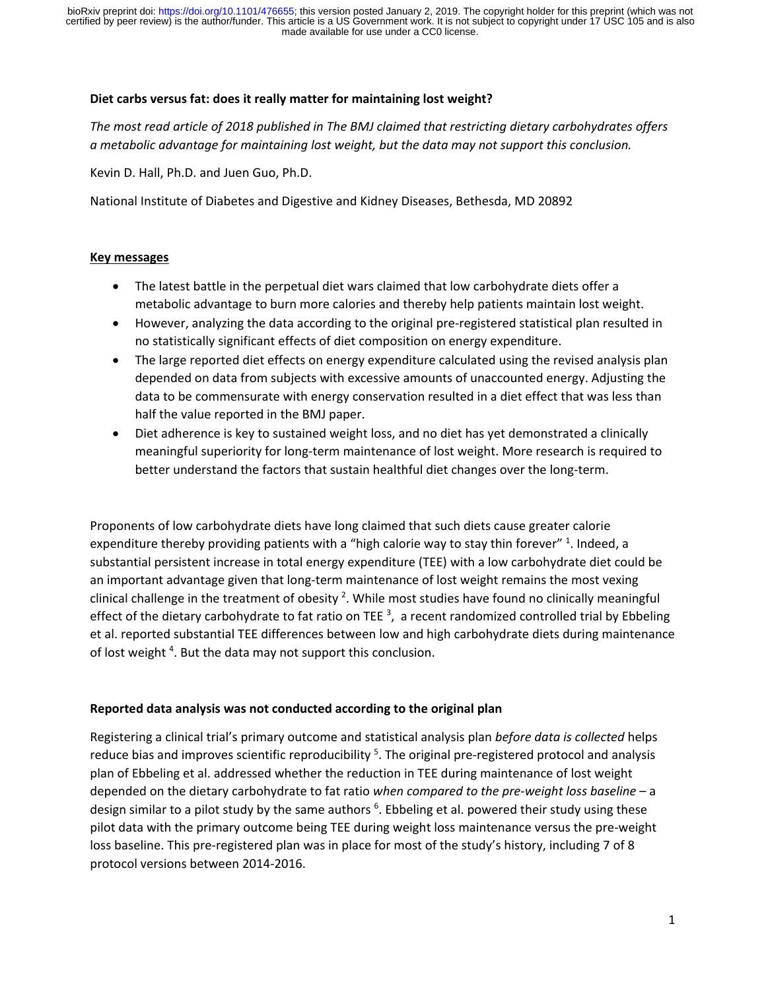### **Diet carbs versus fat: does it really matter for maintaining lost weight?**

*The most read article of 2018 published in The BMJ claimed that restricting dietary carbohydrates offers a metabolic advantage for maintaining lost weight, but the data may not support this conclusion.*

Kevin D. Hall, Ph.D. and Juen Guo, Ph.D.

National Institute of Diabetes and Digestive and Kidney Diseases, Bethesda, MD 20892

#### **Key messages**

- The latest battle in the perpetual diet wars claimed that low carbohydrate diets offer a metabolic advantage to burn more calories and thereby help patients maintain lost weight.
- However, analyzing the data according to the original pre-registered statistical plan resulted in no statistically significant effects of diet composition on energy expenditure.
- The large reported diet effects on energy expenditure calculated using the revised analysis plan depended on data from subjects with excessive amounts of unaccounted energy. Adjusting the data to be commensurate with energy conservation resulted in a diet effect that was less than half the value reported in the BMJ paper.
- Diet adherence is key to sustained weight loss, and no diet has yet demonstrated a clinically meaningful superiority for long-term maintenance of lost weight. More research is required to better understand the factors that sustain healthful diet changes over the long-term.

Proponents of low carbohydrate diets have long claimed that such diets cause greater calorie expenditure thereby providing patients with a "high calorie way to stay thin forever" <sup>1</sup>. Indeed, a substantial persistent increase in total energy expenditure (TEE) with a low carbohydrate diet could be an important advantage given that long-term maintenance of lost weight remains the most vexing clinical challenge in the treatment of obesity  $^2$ . While most studies have found no clinically meaningful effect of the dietary carbohydrate to fat ratio on TEE  $^3$ , a recent randomized controlled trial by Ebbeling et al. reported substantial TEE differences between low and high carbohydrate diets during maintenance of lost weight<sup>4</sup>. But the data may not support this conclusion.

### **Reported data analysis was not conducted according to the original plan**

Registering a clinical trial's primary outcome and statistical analysis plan *before data is collected* helps reduce bias and improves scientific reproducibility <sup>5</sup>. The original pre-registered protocol and analysis plan of Ebbeling et al. addressed whether the reduction in TEE during maintenance of lost weight depended on the dietary carbohydrate to fat ratio *when compared to the pre-weight loss baseline* – a design similar to a pilot study by the same authors <sup>6</sup>. Ebbeling et al. powered their study using these pilot data with the primary outcome being TEE during weight loss maintenance versus the pre-weight loss baseline. This pre-registered plan was in place for most of the study's history, including 7 of 8 protocol versions between 2014-2016.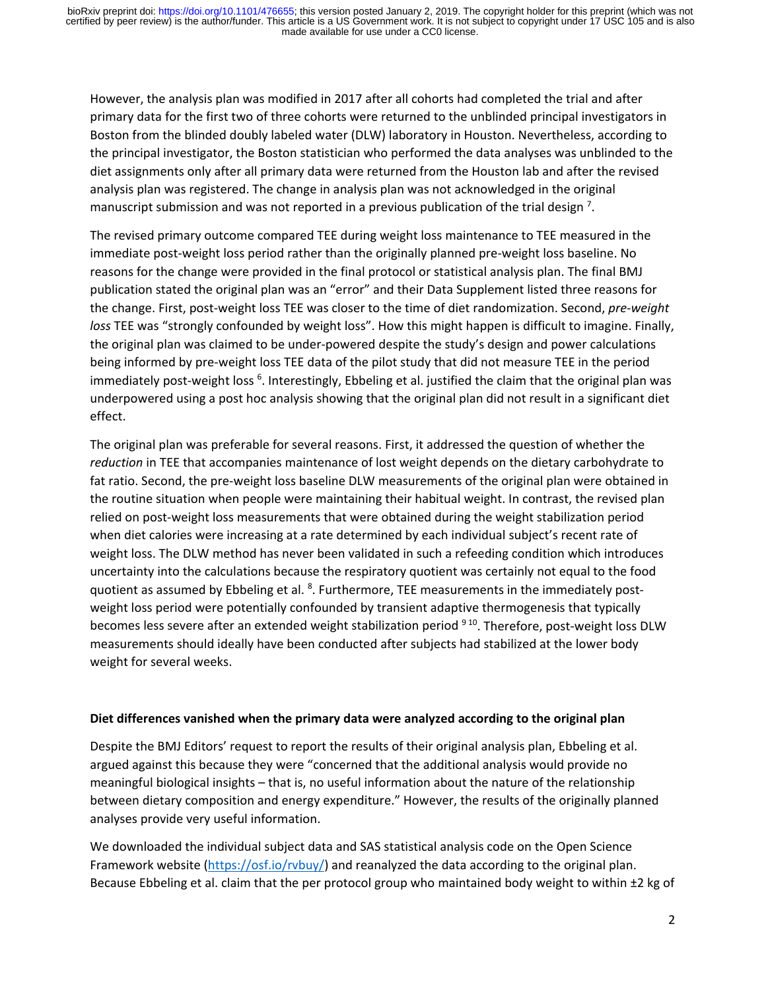made available for use under a CC0 license. certified by peer review) is the author/funder. This article is a US Government work. It is not subject to copyright under 17 USC 105 and is also bioRxiv preprint doi: [https://doi.org/10.1101/476655;](https://doi.org/10.1101/476655) this version posted January 2, 2019. The copyright holder for this preprint (which was not

However, the analysis plan was modified in 2017 after all cohorts had completed the trial and after primary data for the first two of three cohorts were returned to the unblinded principal investigators in Boston from the blinded doubly labeled water (DLW) laboratory in Houston. Nevertheless, according to the principal investigator, the Boston statistician who performed the data analyses was unblinded to the diet assignments only after all primary data were returned from the Houston lab and after the revised analysis plan was registered. The change in analysis plan was not acknowledged in the original manuscript submission and was not reported in a previous publication of the trial design<sup>7</sup>.

The revised primary outcome compared TEE during weight loss maintenance to TEE measured in the immediate post-weight loss period rather than the originally planned pre-weight loss baseline. No reasons for the change were provided in the final protocol or statistical analysis plan. The final BMJ publication stated the original plan was an "error" and their Data Supplement listed three reasons for the change. First, post-weight loss TEE was closer to the time of diet randomization. Second, *pre-weight loss* TEE was "strongly confounded by weight loss". How this might happen is difficult to imagine. Finally, the original plan was claimed to be under-powered despite the study's design and power calculations being informed by pre-weight loss TEE data of the pilot study that did not measure TEE in the period immediately post-weight loss <sup>6</sup>. Interestingly, Ebbeling et al. justified the claim that the original plan was underpowered using a post hoc analysis showing that the original plan did not result in a significant diet effect.

The original plan was preferable for several reasons. First, it addressed the question of whether the *reduction* in TEE that accompanies maintenance of lost weight depends on the dietary carbohydrate to fat ratio. Second, the pre-weight loss baseline DLW measurements of the original plan were obtained in the routine situation when people were maintaining their habitual weight. In contrast, the revised plan relied on post-weight loss measurements that were obtained during the weight stabilization period when diet calories were increasing at a rate determined by each individual subject's recent rate of weight loss. The DLW method has never been validated in such a refeeding condition which introduces uncertainty into the calculations because the respiratory quotient was certainly not equal to the food quotient as assumed by Ebbeling et al. <sup>8</sup>. Furthermore, TEE measurements in the immediately postweight loss period were potentially confounded by transient adaptive thermogenesis that typically becomes less severe after an extended weight stabilization period <sup>910</sup>. Therefore, post-weight loss DLW measurements should ideally have been conducted after subjects had stabilized at the lower body weight for several weeks.

#### **Diet differences vanished when the primary data were analyzed according to the original plan**

Despite the BMJ Editors' request to report the results of their original analysis plan, Ebbeling et al. argued against this because they were "concerned that the additional analysis would provide no meaningful biological insights – that is, no useful information about the nature of the relationship between dietary composition and energy expenditure." However, the results of the originally planned analyses provide very useful information.

We downloaded the individual subject data and SAS statistical analysis code on the Open Science Framework website [\(https://osf.io/rvbuy/\)](https://osf.io/rvbuy/) and reanalyzed the data according to the original plan. Because Ebbeling et al. claim that the per protocol group who maintained body weight to within ±2 kg of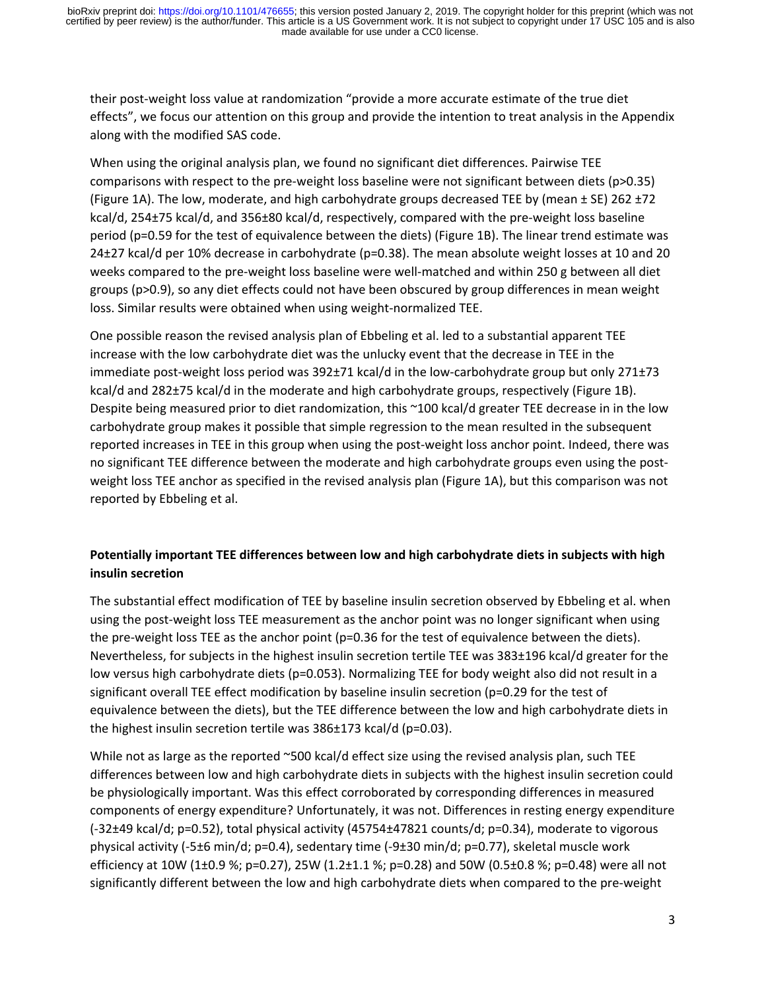their post-weight loss value at randomization "provide a more accurate estimate of the true diet effects", we focus our attention on this group and provide the intention to treat analysis in the Appendix along with the modified SAS code.

When using the original analysis plan, we found no significant diet differences. Pairwise TEE comparisons with respect to the pre-weight loss baseline were not significant between diets (p>0.35) (Figure 1A). The low, moderate, and high carbohydrate groups decreased TEE by (mean  $\pm$  SE) 262  $\pm$ 72 kcal/d, 254±75 kcal/d, and 356±80 kcal/d, respectively, compared with the pre-weight loss baseline period (p=0.59 for the test of equivalence between the diets) (Figure 1B). The linear trend estimate was 24±27 kcal/d per 10% decrease in carbohydrate (p=0.38). The mean absolute weight losses at 10 and 20 weeks compared to the pre-weight loss baseline were well-matched and within 250 g between all diet groups (p>0.9), so any diet effects could not have been obscured by group differences in mean weight loss. Similar results were obtained when using weight-normalized TEE.

One possible reason the revised analysis plan of Ebbeling et al. led to a substantial apparent TEE increase with the low carbohydrate diet was the unlucky event that the decrease in TEE in the immediate post-weight loss period was 392±71 kcal/d in the low-carbohydrate group but only 271±73 kcal/d and 282±75 kcal/d in the moderate and high carbohydrate groups, respectively (Figure 1B). Despite being measured prior to diet randomization, this ~100 kcal/d greater TEE decrease in in the low carbohydrate group makes it possible that simple regression to the mean resulted in the subsequent reported increases in TEE in this group when using the post-weight loss anchor point. Indeed, there was no significant TEE difference between the moderate and high carbohydrate groups even using the postweight loss TEE anchor as specified in the revised analysis plan (Figure 1A), but this comparison was not reported by Ebbeling et al.

# **Potentially important TEE differences between low and high carbohydrate diets in subjects with high insulin secretion**

The substantial effect modification of TEE by baseline insulin secretion observed by Ebbeling et al. when using the post-weight loss TEE measurement as the anchor point was no longer significant when using the pre-weight loss TEE as the anchor point (p=0.36 for the test of equivalence between the diets). Nevertheless, for subjects in the highest insulin secretion tertile TEE was 383±196 kcal/d greater for the low versus high carbohydrate diets (p=0.053). Normalizing TEE for body weight also did not result in a significant overall TEE effect modification by baseline insulin secretion (p=0.29 for the test of equivalence between the diets), but the TEE difference between the low and high carbohydrate diets in the highest insulin secretion tertile was 386±173 kcal/d (p=0.03).

While not as large as the reported ~500 kcal/d effect size using the revised analysis plan, such TEE differences between low and high carbohydrate diets in subjects with the highest insulin secretion could be physiologically important. Was this effect corroborated by corresponding differences in measured components of energy expenditure? Unfortunately, it was not. Differences in resting energy expenditure (-32±49 kcal/d; p=0.52), total physical activity (45754±47821 counts/d; p=0.34), moderate to vigorous physical activity (-5±6 min/d; p=0.4), sedentary time (-9±30 min/d; p=0.77), skeletal muscle work efficiency at 10W (1±0.9 %; p=0.27), 25W (1.2±1.1 %; p=0.28) and 50W (0.5±0.8 %; p=0.48) were all not significantly different between the low and high carbohydrate diets when compared to the pre-weight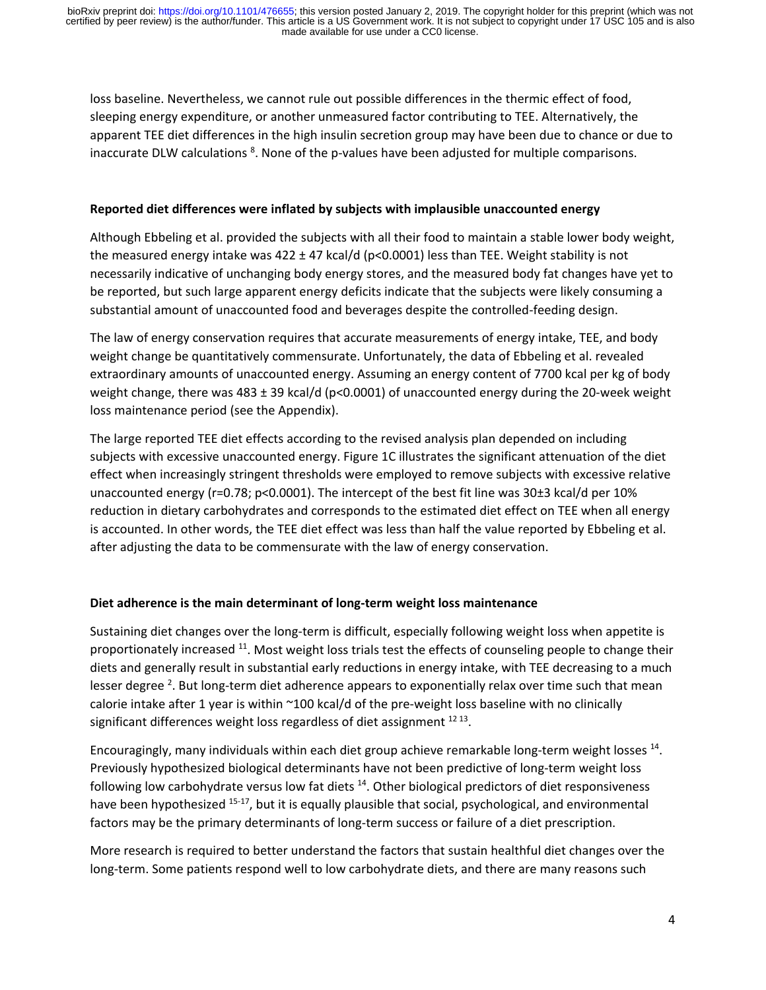loss baseline. Nevertheless, we cannot rule out possible differences in the thermic effect of food, sleeping energy expenditure, or another unmeasured factor contributing to TEE. Alternatively, the apparent TEE diet differences in the high insulin secretion group may have been due to chance or due to inaccurate DLW calculations <sup>8</sup>. None of the p-values have been adjusted for multiple comparisons.

### **Reported diet differences were inflated by subjects with implausible unaccounted energy**

Although Ebbeling et al. provided the subjects with all their food to maintain a stable lower body weight, the measured energy intake was  $422 \pm 47$  kcal/d (p<0.0001) less than TEE. Weight stability is not necessarily indicative of unchanging body energy stores, and the measured body fat changes have yet to be reported, but such large apparent energy deficits indicate that the subjects were likely consuming a substantial amount of unaccounted food and beverages despite the controlled-feeding design.

The law of energy conservation requires that accurate measurements of energy intake, TEE, and body weight change be quantitatively commensurate. Unfortunately, the data of Ebbeling et al. revealed extraordinary amounts of unaccounted energy. Assuming an energy content of 7700 kcal per kg of body weight change, there was  $483 \pm 39$  kcal/d (p<0.0001) of unaccounted energy during the 20-week weight loss maintenance period (see the Appendix).

The large reported TEE diet effects according to the revised analysis plan depended on including subjects with excessive unaccounted energy. Figure 1C illustrates the significant attenuation of the diet effect when increasingly stringent thresholds were employed to remove subjects with excessive relative unaccounted energy (r=0.78; p<0.0001). The intercept of the best fit line was 30±3 kcal/d per 10% reduction in dietary carbohydrates and corresponds to the estimated diet effect on TEE when all energy is accounted. In other words, the TEE diet effect was less than half the value reported by Ebbeling et al. after adjusting the data to be commensurate with the law of energy conservation.

### **Diet adherence is the main determinant of long-term weight loss maintenance**

Sustaining diet changes over the long-term is difficult, especially following weight loss when appetite is proportionately increased <sup>11</sup>. Most weight loss trials test the effects of counseling people to change their diets and generally result in substantial early reductions in energy intake, with TEE decreasing to a much lesser degree <sup>2</sup>. But long-term diet adherence appears to exponentially relax over time such that mean calorie intake after 1 year is within ~100 kcal/d of the pre-weight loss baseline with no clinically significant differences weight loss regardless of diet assignment  $^{12}$   $^{13}$ .

Encouragingly, many individuals within each diet group achieve remarkable long-term weight losses 14. Previously hypothesized biological determinants have not been predictive of long-term weight loss following low carbohydrate versus low fat diets  $14$ . Other biological predictors of diet responsiveness have been hypothesized <sup>15-17</sup>, but it is equally plausible that social, psychological, and environmental factors may be the primary determinants of long-term success or failure of a diet prescription.

More research is required to better understand the factors that sustain healthful diet changes over the long-term. Some patients respond well to low carbohydrate diets, and there are many reasons such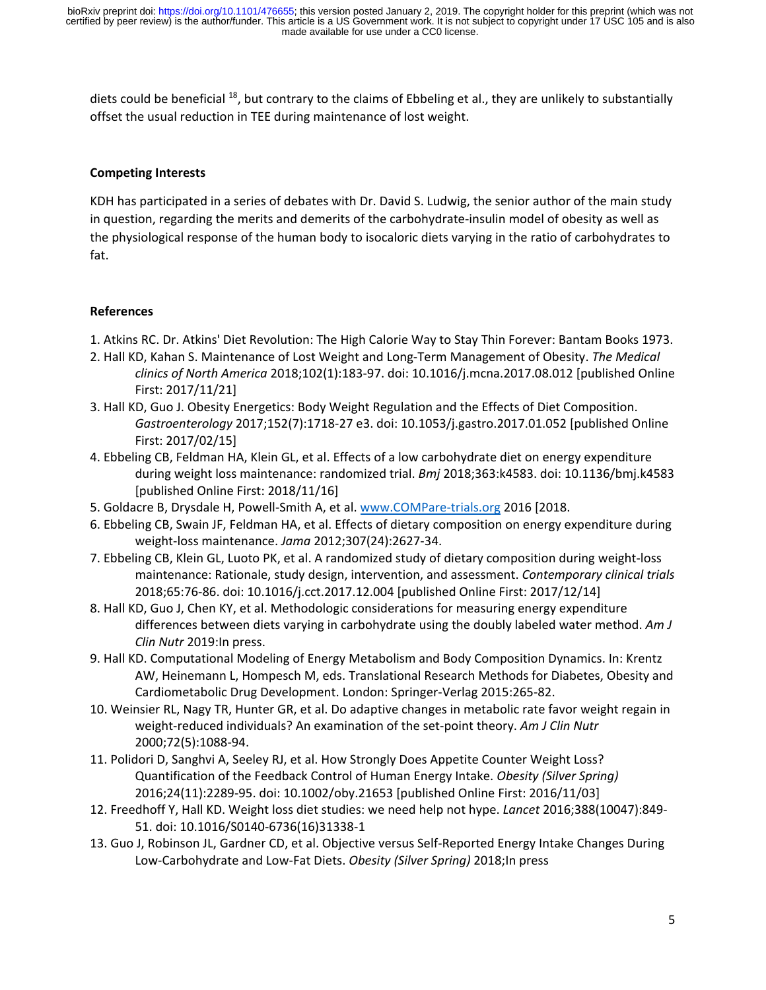diets could be beneficial <sup>18</sup>, but contrary to the claims of Ebbeling et al., they are unlikely to substantially offset the usual reduction in TEE during maintenance of lost weight.

### **Competing Interests**

KDH has participated in a series of debates with Dr. David S. Ludwig, the senior author of the main study in question, regarding the merits and demerits of the carbohydrate-insulin model of obesity as well as the physiological response of the human body to isocaloric diets varying in the ratio of carbohydrates to fat.

#### **References**

- 1. Atkins RC. Dr. Atkins' Diet Revolution: The High Calorie Way to Stay Thin Forever: Bantam Books 1973.
- 2. Hall KD, Kahan S. Maintenance of Lost Weight and Long-Term Management of Obesity. *The Medical clinics of North America* 2018;102(1):183-97. doi: 10.1016/j.mcna.2017.08.012 [published Online First: 2017/11/21]
- 3. Hall KD, Guo J. Obesity Energetics: Body Weight Regulation and the Effects of Diet Composition. *Gastroenterology* 2017;152(7):1718-27 e3. doi: 10.1053/j.gastro.2017.01.052 [published Online First: 2017/02/15]
- 4. Ebbeling CB, Feldman HA, Klein GL, et al. Effects of a low carbohydrate diet on energy expenditure during weight loss maintenance: randomized trial. *Bmj* 2018;363:k4583. doi: 10.1136/bmj.k4583 [published Online First: 2018/11/16]
- 5. Goldacre B, Drysdale H, Powell-Smith A, et al. www.COMPare-trials.org 2016 [2018.
- 6. Ebbeling CB, Swain JF, Feldman HA, et al. Effects of dietary composition on energy expenditure during weight-loss maintenance. *Jama* 2012;307(24):2627-34.
- 7. Ebbeling CB, Klein GL, Luoto PK, et al. A randomized study of dietary composition during weight-loss maintenance: Rationale, study design, intervention, and assessment. *Contemporary clinical trials* 2018;65:76-86. doi: 10.1016/j.cct.2017.12.004 [published Online First: 2017/12/14]
- 8. Hall KD, Guo J, Chen KY, et al. Methodologic considerations for measuring energy expenditure differences between diets varying in carbohydrate using the doubly labeled water method. *Am J Clin Nutr* 2019:In press.
- 9. Hall KD. Computational Modeling of Energy Metabolism and Body Composition Dynamics. In: Krentz AW, Heinemann L, Hompesch M, eds. Translational Research Methods for Diabetes, Obesity and Cardiometabolic Drug Development. London: Springer-Verlag 2015:265-82.
- 10. Weinsier RL, Nagy TR, Hunter GR, et al. Do adaptive changes in metabolic rate favor weight regain in weight-reduced individuals? An examination of the set-point theory. *Am J Clin Nutr* 2000;72(5):1088-94.
- 11. Polidori D, Sanghvi A, Seeley RJ, et al. How Strongly Does Appetite Counter Weight Loss? Quantification of the Feedback Control of Human Energy Intake. *Obesity (Silver Spring)* 2016;24(11):2289-95. doi: 10.1002/oby.21653 [published Online First: 2016/11/03]
- 12. Freedhoff Y, Hall KD. Weight loss diet studies: we need help not hype. *Lancet* 2016;388(10047):849- 51. doi: 10.1016/S0140-6736(16)31338-1
- 13. Guo J, Robinson JL, Gardner CD, et al. Objective versus Self-Reported Energy Intake Changes During Low-Carbohydrate and Low-Fat Diets. *Obesity (Silver Spring)* 2018;In press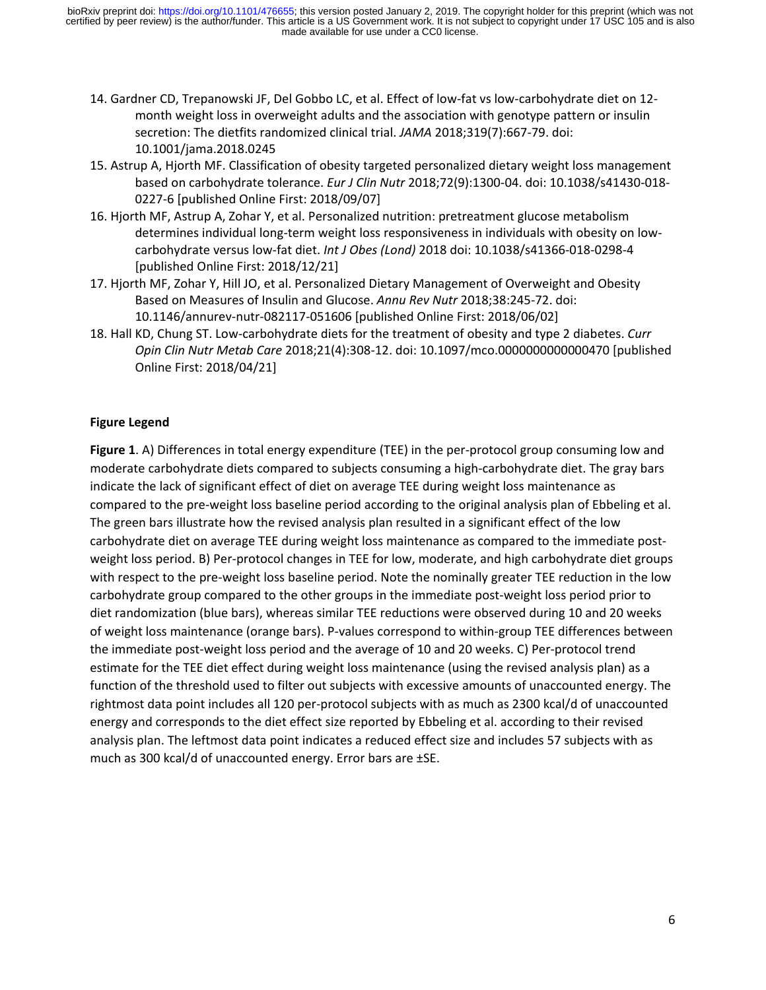- 14. Gardner CD, Trepanowski JF, Del Gobbo LC, et al. Effect of low-fat vs low-carbohydrate diet on 12 month weight loss in overweight adults and the association with genotype pattern or insulin secretion: The dietfits randomized clinical trial. *JAMA* 2018;319(7):667-79. doi: 10.1001/jama.2018.0245
- 15. Astrup A, Hjorth MF. Classification of obesity targeted personalized dietary weight loss management based on carbohydrate tolerance. *Eur J Clin Nutr* 2018;72(9):1300-04. doi: 10.1038/s41430-018- 0227-6 [published Online First: 2018/09/07]
- 16. Hjorth MF, Astrup A, Zohar Y, et al. Personalized nutrition: pretreatment glucose metabolism determines individual long-term weight loss responsiveness in individuals with obesity on lowcarbohydrate versus low-fat diet. *Int J Obes (Lond)* 2018 doi: 10.1038/s41366-018-0298-4 [published Online First: 2018/12/21]
- 17. Hjorth MF, Zohar Y, Hill JO, et al. Personalized Dietary Management of Overweight and Obesity Based on Measures of Insulin and Glucose. *Annu Rev Nutr* 2018;38:245-72. doi: 10.1146/annurev-nutr-082117-051606 [published Online First: 2018/06/02]
- 18. Hall KD, Chung ST. Low-carbohydrate diets for the treatment of obesity and type 2 diabetes. *Curr Opin Clin Nutr Metab Care* 2018;21(4):308-12. doi: 10.1097/mco.0000000000000470 [published Online First: 2018/04/21]

## **Figure Legend**

**Figure 1**. A) Differences in total energy expenditure (TEE) in the per-protocol group consuming low and moderate carbohydrate diets compared to subjects consuming a high-carbohydrate diet. The gray bars indicate the lack of significant effect of diet on average TEE during weight loss maintenance as compared to the pre-weight loss baseline period according to the original analysis plan of Ebbeling et al. The green bars illustrate how the revised analysis plan resulted in a significant effect of the low carbohydrate diet on average TEE during weight loss maintenance as compared to the immediate postweight loss period. B) Per-protocol changes in TEE for low, moderate, and high carbohydrate diet groups with respect to the pre-weight loss baseline period. Note the nominally greater TEE reduction in the low carbohydrate group compared to the other groups in the immediate post-weight loss period prior to diet randomization (blue bars), whereas similar TEE reductions were observed during 10 and 20 weeks of weight loss maintenance (orange bars). P-values correspond to within-group TEE differences between the immediate post-weight loss period and the average of 10 and 20 weeks. C) Per-protocol trend estimate for the TEE diet effect during weight loss maintenance (using the revised analysis plan) as a function of the threshold used to filter out subjects with excessive amounts of unaccounted energy. The rightmost data point includes all 120 per-protocol subjects with as much as 2300 kcal/d of unaccounted energy and corresponds to the diet effect size reported by Ebbeling et al. according to their revised analysis plan. The leftmost data point indicates a reduced effect size and includes 57 subjects with as much as 300 kcal/d of unaccounted energy. Error bars are ±SE.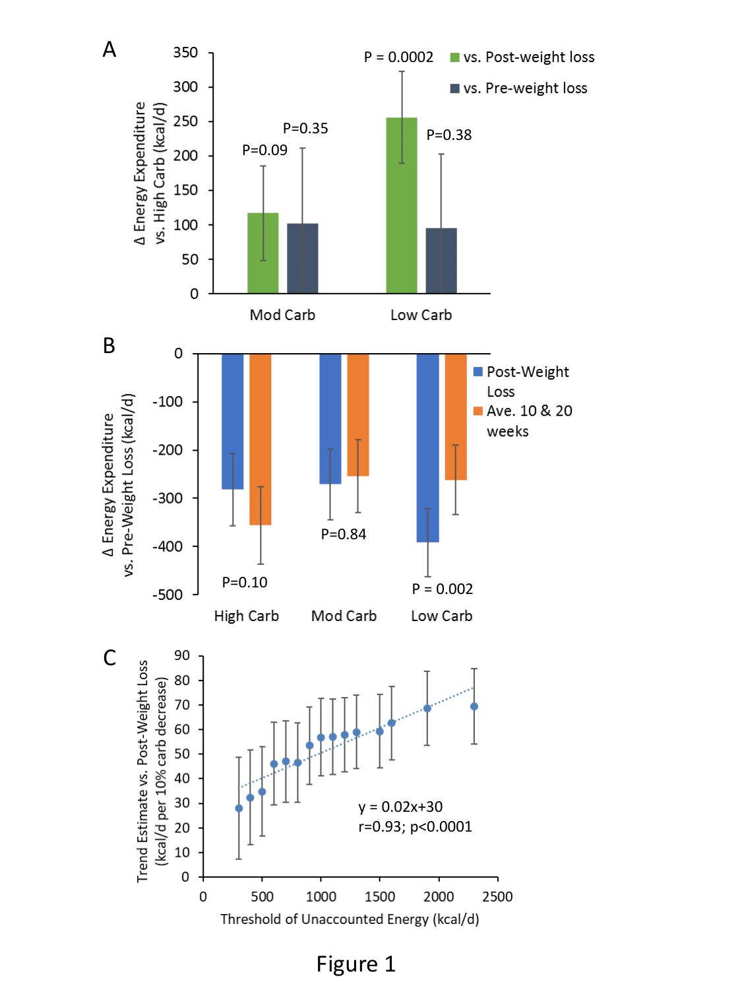

Figure 1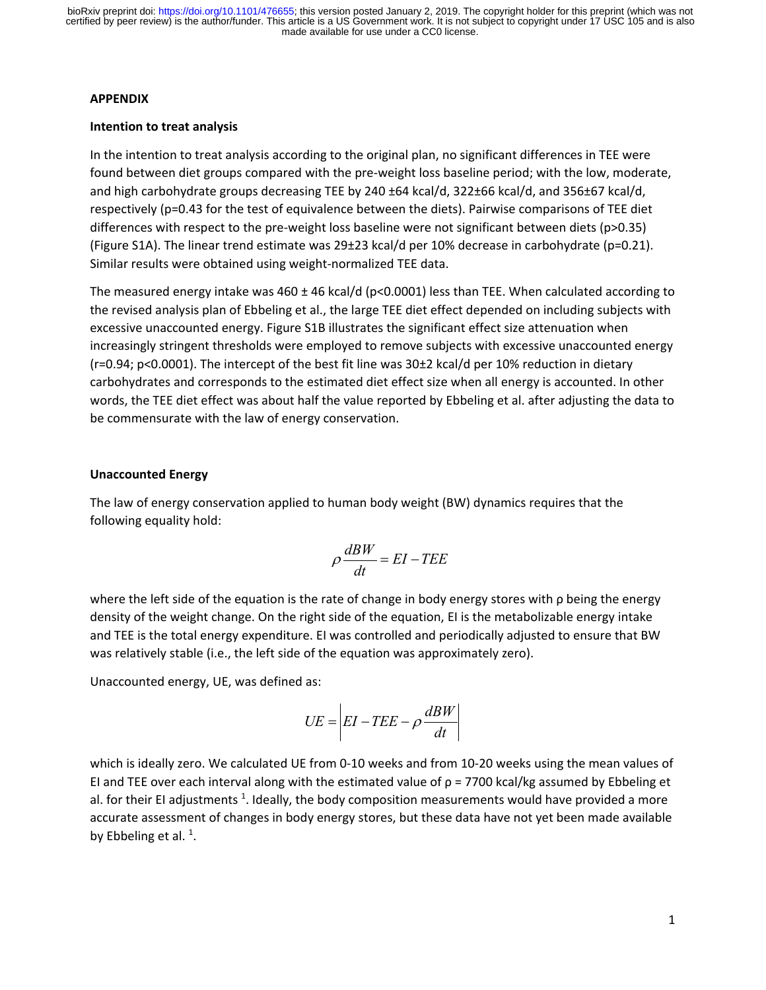#### **APPENDIX**

### **Intention to treat analysis**

In the intention to treat analysis according to the original plan, no significant differences in TEE were found between diet groups compared with the pre-weight loss baseline period; with the low, moderate, and high carbohydrate groups decreasing TEE by 240 ±64 kcal/d, 322±66 kcal/d, and 356±67 kcal/d, respectively (p=0.43 for the test of equivalence between the diets). Pairwise comparisons of TEE diet differences with respect to the pre-weight loss baseline were not significant between diets (p>0.35) (Figure S1A). The linear trend estimate was 29±23 kcal/d per 10% decrease in carbohydrate (p=0.21). Similar results were obtained using weight-normalized TEE data.

The measured energy intake was  $460 \pm 46$  kcal/d (p<0.0001) less than TEE. When calculated according to the revised analysis plan of Ebbeling et al., the large TEE diet effect depended on including subjects with excessive unaccounted energy. Figure S1B illustrates the significant effect size attenuation when increasingly stringent thresholds were employed to remove subjects with excessive unaccounted energy (r=0.94; p<0.0001). The intercept of the best fit line was 30±2 kcal/d per 10% reduction in dietary carbohydrates and corresponds to the estimated diet effect size when all energy is accounted. In other words, the TEE diet effect was about half the value reported by Ebbeling et al. after adjusting the data to be commensurate with the law of energy conservation.

### **Unaccounted Energy**

The law of energy conservation applied to human body weight (BW) dynamics requires that the following equality hold:

$$
\rho \frac{dBW}{dt} = EI - TEE
$$

where the left side of the equation is the rate of change in body energy stores with ρ being the energy density of the weight change. On the right side of the equation, EI is the metabolizable energy intake and TEE is the total energy expenditure. EI was controlled and periodically adjusted to ensure that BW was relatively stable (i.e., the left side of the equation was approximately zero).

Unaccounted energy, UE, was defined as:

$$
UE = \left| EI - TEE - \rho \frac{dBW}{dt} \right|
$$

which is ideally zero. We calculated UE from 0-10 weeks and from 10-20 weeks using the mean values of EI and TEE over each interval along with the estimated value of ρ = 7700 kcal/kg assumed by Ebbeling et al. for their EI adjustments  $^1$ . Ideally, the body composition measurements would have provided a more accurate assessment of changes in body energy stores, but these data have not yet been made available by Ebbeling et al.  $^1$ .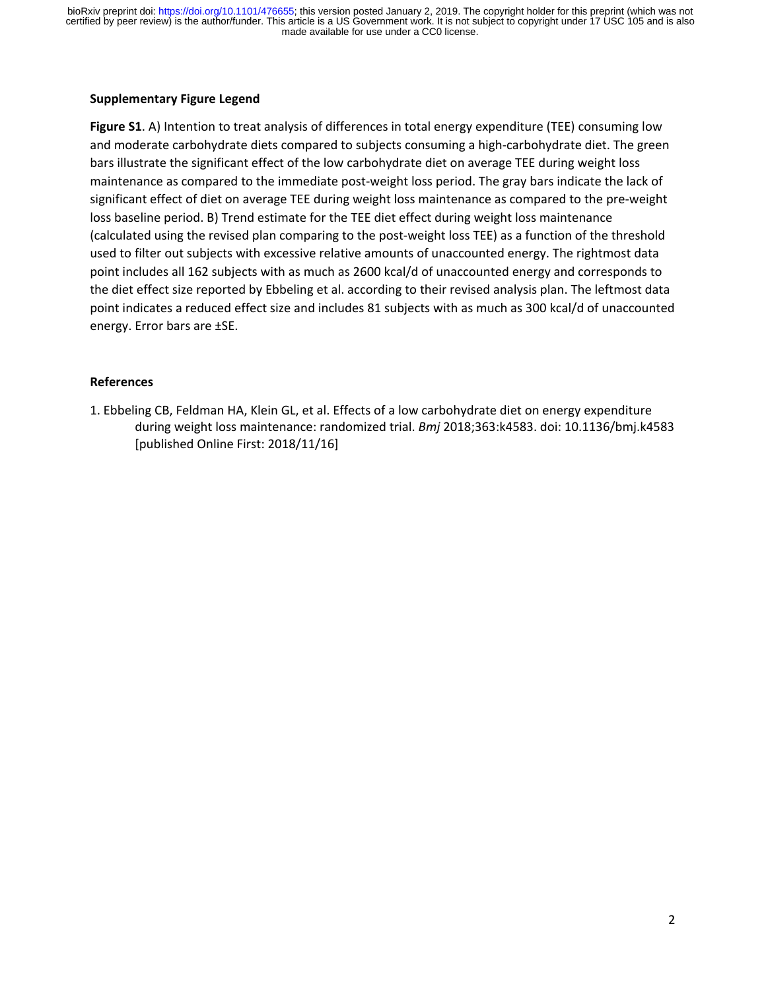#### **Supplementary Figure Legend**

**Figure S1**. A) Intention to treat analysis of differences in total energy expenditure (TEE) consuming low and moderate carbohydrate diets compared to subjects consuming a high-carbohydrate diet. The green bars illustrate the significant effect of the low carbohydrate diet on average TEE during weight loss maintenance as compared to the immediate post-weight loss period. The gray bars indicate the lack of significant effect of diet on average TEE during weight loss maintenance as compared to the pre-weight loss baseline period. B) Trend estimate for the TEE diet effect during weight loss maintenance (calculated using the revised plan comparing to the post-weight loss TEE) as a function of the threshold used to filter out subjects with excessive relative amounts of unaccounted energy. The rightmost data point includes all 162 subjects with as much as 2600 kcal/d of unaccounted energy and corresponds to the diet effect size reported by Ebbeling et al. according to their revised analysis plan. The leftmost data point indicates a reduced effect size and includes 81 subjects with as much as 300 kcal/d of unaccounted energy. Error bars are ±SE.

### **References**

1. Ebbeling CB, Feldman HA, Klein GL, et al. Effects of a low carbohydrate diet on energy expenditure during weight loss maintenance: randomized trial. *Bmj* 2018;363:k4583. doi: 10.1136/bmj.k4583 [published Online First: 2018/11/16]